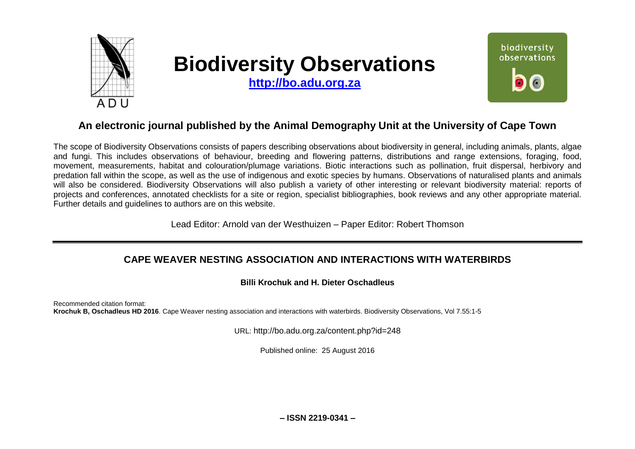

# **Biodiversity Observations**

**[http://bo.adu.org.za](http://bo.adu.org.za/)**



# **An electronic journal published by the Animal Demography Unit at the University of Cape Town**

The scope of Biodiversity Observations consists of papers describing observations about biodiversity in general, including animals, plants, algae and fungi. This includes observations of behaviour, breeding and flowering patterns, distributions and range extensions, foraging, food, movement, measurements, habitat and colouration/plumage variations. Biotic interactions such as pollination, fruit dispersal, herbivory and predation fall within the scope, as well as the use of indigenous and exotic species by humans. Observations of naturalised plants and animals will also be considered. Biodiversity Observations will also publish a variety of other interesting or relevant biodiversity material: reports of projects and conferences, annotated checklists for a site or region, specialist bibliographies, book reviews and any other appropriate material. Further details and guidelines to authors are on this website.

Lead Editor: Arnold van der Westhuizen – Paper Editor: Robert Thomson

## **CAPE WEAVER NESTING ASSOCIATION AND INTERACTIONS WITH WATERBIRDS**

## **Billi Krochuk and H. Dieter Oschadleus**

Recommended citation format: **Krochuk B, Oschadleus HD 2016**. Cape Weaver nesting association and interactions with waterbirds. Biodiversity Observations, Vol 7.55:1-5

URL: http://bo.adu.org.za/content.php?id=248

Published online: 25 August 2016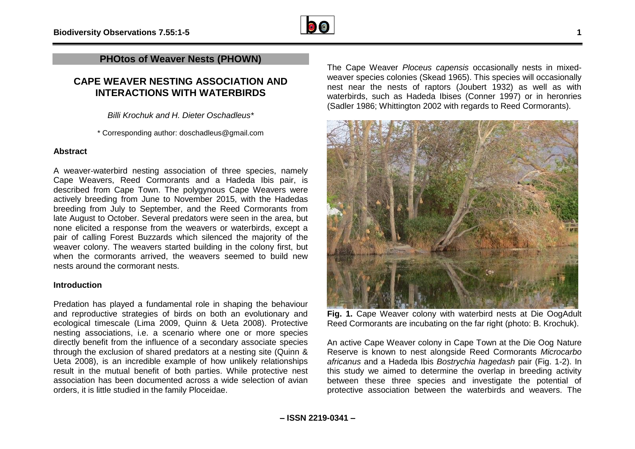

## **PHOtos of Weaver Nests (PHOWN)**

## **CAPE WEAVER NESTING ASSOCIATION AND INTERACTIONS WITH WATERBIRDS**

*Billi Krochuk and H. Dieter Oschadleus\**

\* Corresponding author: doschadleus@gmail.com

#### **Abstract**

A weaver-waterbird nesting association of three species, namely Cape Weavers, Reed Cormorants and a Hadeda Ibis pair, is described from Cape Town. The polygynous Cape Weavers were actively breeding from June to November 2015, with the Hadedas breeding from July to September, and the Reed Cormorants from late August to October. Several predators were seen in the area, but none elicited a response from the weavers or waterbirds, except a pair of calling Forest Buzzards which silenced the majority of the weaver colony. The weavers started building in the colony first, but when the cormorants arrived, the weavers seemed to build new nests around the cormorant nests.

#### **Introduction**

Predation has played a fundamental role in shaping the behaviour and reproductive strategies of birds on both an evolutionary and ecological timescale (Lima 2009, Quinn & Ueta 2008). Protective nesting associations, i.e. a scenario where one or more species directly benefit from the influence of a secondary associate species through the exclusion of shared predators at a nesting site (Quinn & Ueta 2008), is an incredible example of how unlikely relationships result in the mutual benefit of both parties. While protective nest association has been documented across a wide selection of avian orders, it is little studied in the family Ploceidae.

The Cape Weaver *Ploceus capensis* occasionally nests in mixedweaver species colonies (Skead 1965). This species will occasionally nest near the nests of raptors (Joubert 1932) as well as with waterbirds, such as Hadeda Ibises (Conner 1997) or in heronries (Sadler 1986; Whittington 2002 with regards to Reed Cormorants).



**Fig. 1.** Cape Weaver colony with waterbird nests at Die OogAdult Reed Cormorants are incubating on the far right (photo: B. Krochuk).

An active Cape Weaver colony in Cape Town at the Die Oog Nature Reserve is known to nest alongside Reed Cormorants *Microcarbo africanus* and a Hadeda Ibis *Bostrychia hagedash* pair (Fig. 1-2). In this study we aimed to determine the overlap in breeding activity between these three species and investigate the potential of protective association between the waterbirds and weavers. The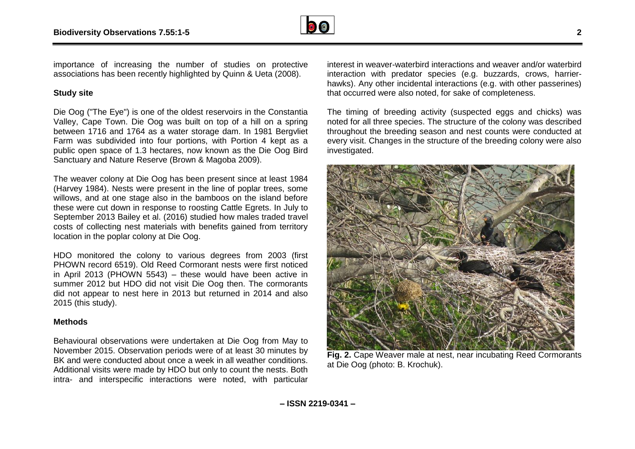

importance of increasing the number of studies on protective associations has been recently highlighted by Quinn & Ueta (2008).

#### **Study site**

Die Oog ("The Eye") is one of the oldest reservoirs in the Constantia Valley, Cape Town. Die Oog was built on top of a hill on a spring between 1716 and 1764 as a water storage dam. In 1981 Bergvliet Farm was subdivided into four portions, with Portion 4 kept as a public open space of 1.3 hectares, now known as the Die Oog Bird Sanctuary and Nature Reserve (Brown & Magoba 2009).

The weaver colony at Die Oog has been present since at least 1984 (Harvey 1984). Nests were present in the line of poplar trees, some willows, and at one stage also in the bamboos on the island before these were cut down in response to roosting Cattle Egrets. In July to September 2013 Bailey et al. (2016) studied how males traded travel costs of collecting nest materials with benefits gained from territory location in the poplar colony at Die Oog.

HDO monitored the colony to various degrees from 2003 (first PHOWN record 6519). Old Reed Cormorant nests were first noticed in April 2013 (PHOWN 5543) – these would have been active in summer 2012 but HDO did not visit Die Oog then. The cormorants did not appear to nest here in 2013 but returned in 2014 and also 2015 (this study).

#### **Methods**

Behavioural observations were undertaken at Die Oog from May to November 2015. Observation periods were of at least 30 minutes by BK and were conducted about once a week in all weather conditions. Additional visits were made by HDO but only to count the nests. Both intra- and interspecific interactions were noted, with particular

interest in weaver-waterbird interactions and weaver and/or waterbird interaction with predator species (e.g. buzzards, crows, harrierhawks). Any other incidental interactions (e.g. with other passerines) that occurred were also noted, for sake of completeness.

The timing of breeding activity (suspected eggs and chicks) was noted for all three species. The structure of the colony was described throughout the breeding season and nest counts were conducted at every visit. Changes in the structure of the breeding colony were also investigated.



**Fig. 2.** Cape Weaver male at nest, near incubating Reed Cormorants at Die Oog (photo: B. Krochuk).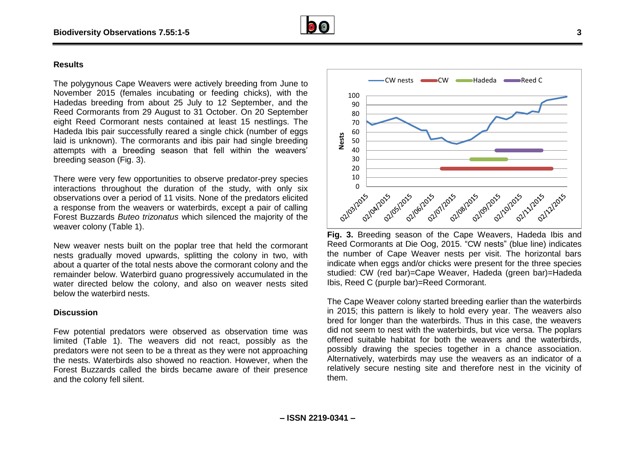

#### **Results**

The polygynous Cape Weavers were actively breeding from June to November 2015 (females incubating or feeding chicks), with the Hadedas breeding from about 25 July to 12 September, and the Reed Cormorants from 29 August to 31 October. On 20 September eight Reed Cormorant nests contained at least 15 nestlings. The Hadeda Ibis pair successfully reared a single chick (number of eggs laid is unknown). The cormorants and ibis pair had single breeding attempts with a breeding season that fell within the weavers' breeding season (Fig. 3).

There were very few opportunities to observe predator-prey species interactions throughout the duration of the study, with only six observations over a period of 11 visits. None of the predators elicited a response from the weavers or waterbirds, except a pair of calling Forest Buzzards *Buteo trizonatus* which silenced the majority of the weaver colony (Table 1).

New weaver nests built on the poplar tree that held the cormorant nests gradually moved upwards, splitting the colony in two, with about a quarter of the total nests above the cormorant colony and the remainder below. Waterbird guano progressively accumulated in the water directed below the colony, and also on weaver nests sited below the waterbird nests.

#### **Discussion**

Few potential predators were observed as observation time was limited (Table 1). The weavers did not react, possibly as the predators were not seen to be a threat as they were not approaching the nests. Waterbirds also showed no reaction. However, when the Forest Buzzards called the birds became aware of their presence and the colony fell silent.



**Fig. 3.** Breeding season of the Cape Weavers, Hadeda Ibis and Reed Cormorants at Die Oog, 2015. "CW nests" (blue line) indicates the number of Cape Weaver nests per visit. The horizontal bars indicate when eggs and/or chicks were present for the three species studied: CW (red bar)=Cape Weaver, Hadeda (green bar)=Hadeda Ibis, Reed C (purple bar)=Reed Cormorant.

The Cape Weaver colony started breeding earlier than the waterbirds in 2015; this pattern is likely to hold every year. The weavers also bred for longer than the waterbirds. Thus in this case, the weavers did not seem to nest with the waterbirds, but vice versa. The poplars offered suitable habitat for both the weavers and the waterbirds, possibly drawing the species together in a chance association. Alternatively, waterbirds may use the weavers as an indicator of a relatively secure nesting site and therefore nest in the vicinity of them.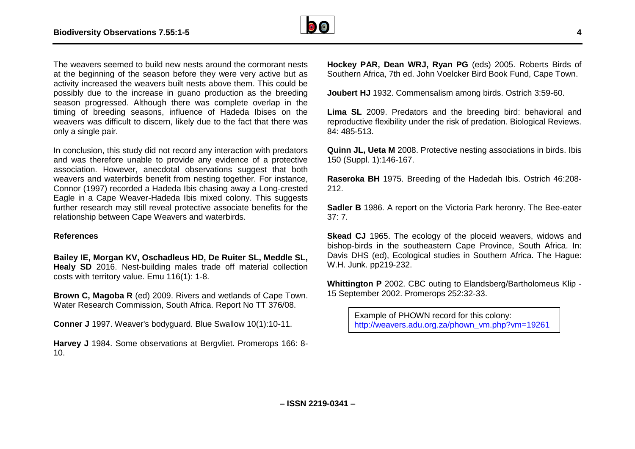

The weavers seemed to build new nests around the cormorant nests at the beginning of the season before they were very active but as activity increased the weavers built nests above them. This could be possibly due to the increase in guano production as the breeding season progressed. Although there was complete overlap in the timing of breeding seasons, influence of Hadeda Ibises on the weavers was difficult to discern, likely due to the fact that there was only a single pair.

In conclusion, this study did not record any interaction with predators and was therefore unable to provide any evidence of a protective association. However, anecdotal observations suggest that both weavers and waterbirds benefit from nesting together. For instance, Connor (1997) recorded a Hadeda Ibis chasing away a Long-crested Eagle in a Cape Weaver-Hadeda Ibis mixed colony. This suggests further research may still reveal protective associate benefits for the relationship between Cape Weavers and waterbirds.

#### **References**

**Bailey IE, Morgan KV, Oschadleus HD, De Ruiter SL, Meddle SL, Healy SD** 2016. Nest-building males trade off material collection costs with territory value. Emu 116(1): 1-8.

**Brown C, Magoba R** (ed) 2009. Rivers and wetlands of Cape Town. Water Research Commission, South Africa. Report No TT 376/08.

**Conner J** 1997. Weaver's bodyguard. Blue Swallow 10(1):10-11.

**Harvey J** 1984. Some observations at Bergvliet. Promerops 166: 8- 10.

**Hockey PAR, Dean WRJ, Ryan PG** (eds) 2005. Roberts Birds of Southern Africa, 7th ed. John Voelcker Bird Book Fund, Cape Town.

**Joubert HJ** 1932. Commensalism among birds. Ostrich 3:59-60.

**Lima SL** 2009. Predators and the breeding bird: behavioral and reproductive flexibility under the risk of predation. Biological Reviews. 84: 485-513.

**Quinn JL, Ueta M** 2008. Protective nesting associations in birds. Ibis 150 (Suppl. 1):146-167.

**Raseroka BH** 1975. Breeding of the Hadedah Ibis. Ostrich 46:208- 212.

**Sadler B** 1986. A report on the Victoria Park heronry. The Bee-eater 37: 7.

**Skead CJ** 1965. The ecology of the ploceid weavers, widows and bishop-birds in the southeastern Cape Province, South Africa. In: Davis DHS (ed), Ecological studies in Southern Africa. The Hague: W.H. Junk. pp219-232.

**Whittington P** 2002. CBC outing to Elandsberg/Bartholomeus Klip - 15 September 2002. Promerops 252:32-33.

> Example of PHOWN record for this colony: [http://weavers.adu.org.za/phown\\_vm.php?vm=19261](http://weavers.adu.org.za/phown_vm.php?vm=19261)